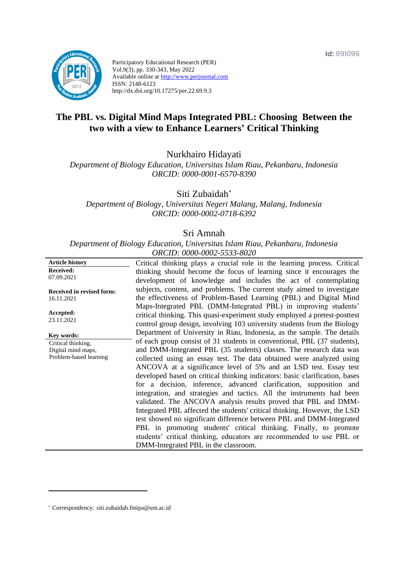

Participatory Educational Research (PER) Vol.9(3), pp. 330-343, May 2022 Available online at http://www.perjournal.com ISSN: 2148-6123 http://dx.doi.org/10.17275/per.22.69.9.3

# **The PBL vs. Digital Mind Maps Integrated PBL: Choosing Between the two with a view to Enhance Learners' Critical Thinking**

Nurkhairo Hidayati

*Department of Biology Education, Universitas Islam Riau, Pekanbaru, Indonesia ORCID: 0000-0001-6570-8390*

Siti Zubaidah*\**

*Department of Biology, Universitas Negeri Malang, Malang, Indonesia ORCID: 0000-0002-0718-6392*

## Sri Amnah

*Department of Biology Education, Universitas Islam Riau, Pekanbaru, Indonesia ORCID: 0000-0002-5533-8020*

| <b>Article history</b>           | Critical thinking plays a crucial role in the learning process. Critical                                                                      |
|----------------------------------|-----------------------------------------------------------------------------------------------------------------------------------------------|
| <b>Received:</b>                 | thinking should become the focus of learning since it encourages the                                                                          |
| 07.09.2021                       | development of knowledge and includes the act of contemplating                                                                                |
| <b>Received in revised form:</b> | subjects, content, and problems. The current study aimed to investigate                                                                       |
| 16.11.2021                       | the effectiveness of Problem-Based Learning (PBL) and Digital Mind                                                                            |
| Accepted:                        | Maps-Integrated PBL (DMM-Integrated PBL) in improving students'<br>critical thinking. This quasi-experiment study employed a pretest-posttest |
| 23.11.2021                       | control group design, involving 103 university students from the Biology                                                                      |
| Key words:                       | Department of University in Riau, Indonesia, as the sample. The details                                                                       |
| Critical thinking,               | of each group consist of 31 students in conventional, PBL (37 students),                                                                      |
| Digital mind maps,               | and DMM-Integrated PBL (35 students) classes. The research data was                                                                           |
| Problem-based learning           | collected using an essay test. The data obtained were analyzed using                                                                          |
|                                  | ANCOVA at a significance level of 5% and an LSD test. Essay test                                                                              |
|                                  | developed based on critical thinking indicators: basic clarification, bases                                                                   |
|                                  | for a decision, inference, advanced clarification, supposition and<br>integration, and strategies and tactics. All the instruments had been   |
|                                  | validated. The ANCOVA analysis results proved that PBL and DMM-                                                                               |
|                                  | Integrated PBL affected the students' critical thinking. However, the LSD                                                                     |
|                                  | test showed no significant difference between PBL and DMM-Integrated                                                                          |
|                                  | PBL in promoting students' critical thinking. Finally, to promote                                                                             |
|                                  | students' critical thinking, educators are recommended to use PBL or                                                                          |
|                                  | DMM-Integrated PBL in the classroom.                                                                                                          |

\* [Correspondency:](mailto:Correspondency:) siti.zubaidah.fmipa@um.ac.id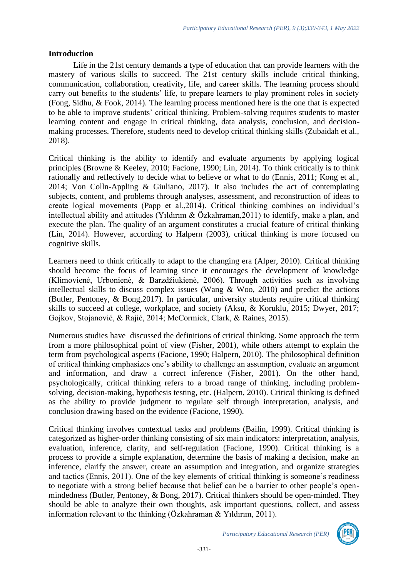### **Introduction**

Life in the 21st century demands a type of education that can provide learners with the mastery of various skills to succeed. The 21st century skills include critical thinking, communication, collaboration, creativity, life, and career skills. The learning process should carry out benefits to the students' life, to prepare learners to play prominent roles in society (Fong, Sidhu, & Fook, 2014). The learning process mentioned here is the one that is expected to be able to improve students' critical thinking. Problem-solving requires students to master learning content and engage in critical thinking, data analysis, conclusion, and decisionmaking processes. Therefore, students need to develop critical thinking skills (Zubaidah et al., 2018).

Critical thinking is the ability to identify and evaluate arguments by applying logical principles (Browne & Keeley, 2010; Facione, 1990; Lin, 2014). To think critically is to think rationally and reflectively to decide what to believe or what to do (Ennis, 2011; Kong et al., 2014; Von Colln-Appling & Giuliano, 2017). It also includes the act of contemplating subjects, content, and problems through analyses, assessment, and reconstruction of ideas to create logical movements (Papp et al.,2014). Critical thinking combines an individual's intellectual ability and attitudes (Yıldırım & Özkahraman,2011) to identify, make a plan, and execute the plan. The quality of an argument constitutes a crucial feature of critical thinking (Lin, 2014). However, according to Halpern (2003), critical thinking is more focused on cognitive skills.

Learners need to think critically to adapt to the changing era (Alper, 2010). Critical thinking should become the focus of learning since it encourages the development of knowledge (Klimovienė, Urbonienė, & Barzdžiukienė, 2006). Through activities such as involving intellectual skills to discuss complex issues (Wang & Woo, 2010) and predict the actions (Butler, Pentoney, & Bong,2017). In particular, university students require critical thinking skills to succeed at college, workplace, and society (Aksu, & Koruklu, 2015; Dwyer, 2017; Gojkov, Stojanović, & Rajić, 2014; McCormick, Clark, & Raines, 2015).

Numerous studies have discussed the definitions of critical thinking. Some approach the term from a more philosophical point of view (Fisher, 2001), while others attempt to explain the term from psychological aspects (Facione, 1990; Halpern, 2010). The philosophical definition of critical thinking emphasizes one's ability to challenge an assumption, evaluate an argument and information, and draw a correct inference (Fisher, 2001). On the other hand, psychologically, critical thinking refers to a broad range of thinking, including problemsolving, decision-making, hypothesis testing, etc. (Halpern, 2010). Critical thinking is defined as the ability to provide judgment to regulate self through interpretation, analysis, and conclusion drawing based on the evidence (Facione, 1990).

Critical thinking involves contextual tasks and problems (Bailin, 1999). Critical thinking is categorized as higher-order thinking consisting of six main indicators: interpretation, analysis, evaluation, inference, clarity, and self-regulation (Facione, 1990). Critical thinking is a process to provide a simple explanation, determine the basis of making a decision, make an inference, clarify the answer, create an assumption and integration, and organize strategies and tactics (Ennis, 2011). One of the key elements of critical thinking is someone's readiness to negotiate with a strong belief because that belief can be a barrier to other people's openmindedness (Butler, Pentoney, & Bong, 2017). Critical thinkers should be open-minded. They should be able to analyze their own thoughts, ask important questions, collect, and assess information relevant to the thinking (Özkahraman & Yıldırım, 2011).

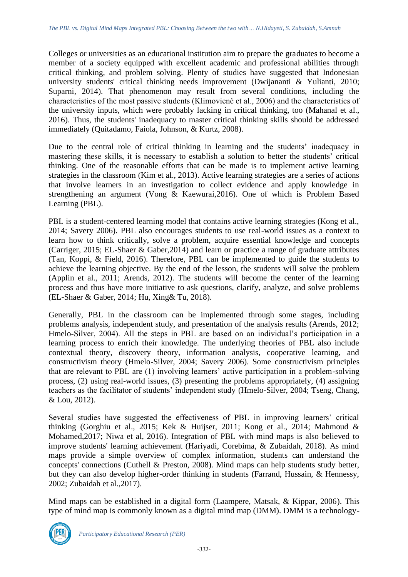Colleges or universities as an educational institution aim to prepare the graduates to become a member of a society equipped with excellent academic and professional abilities through critical thinking, and problem solving. Plenty of studies have suggested that Indonesian university students' critical thinking needs improvement (Dwijananti & Yulianti, 2010; Suparni, 2014). That phenomenon may result from several conditions, including the characteristics of the most passive students (Klimovienė et al., 2006) and the characteristics of the university inputs, which were probably lacking in critical thinking, too (Mahanal et al., 2016). Thus, the students' inadequacy to master critical thinking skills should be addressed immediately (Quitadamo, Faiola, Johnson, & Kurtz, 2008).

Due to the central role of critical thinking in learning and the students' inadequacy in mastering these skills, it is necessary to establish a solution to better the students' critical thinking. One of the reasonable efforts that can be made is to implement active learning strategies in the classroom (Kim et al., 2013). Active learning strategies are a series of actions that involve learners in an investigation to collect evidence and apply knowledge in strengthening an argument (Vong & Kaewurai,2016). One of which is Problem Based Learning (PBL).

PBL is a student-centered learning model that contains active learning strategies (Kong et al., 2014; Savery 2006). PBL also encourages students to use real-world issues as a context to learn how to think critically, solve a problem, acquire essential knowledge and concepts (Carriger, 2015; EL-Shaer & Gaber,2014) and learn or practice a range of graduate attributes (Tan, Koppi, & Field, 2016). Therefore, PBL can be implemented to guide the students to achieve the learning objective. By the end of the lesson, the students will solve the problem (Applin et al., 2011; Arends, 2012). The students will become the center of the learning process and thus have more initiative to ask questions, clarify, analyze, and solve problems (EL-Shaer & Gaber, 2014; Hu, Xing& Tu, 2018).

Generally, PBL in the classroom can be implemented through some stages, including problems analysis, independent study, and presentation of the analysis results (Arends, 2012; Hmelo-Silver, 2004). All the steps in PBL are based on an individual's participation in a learning process to enrich their knowledge. The underlying theories of PBL also include contextual theory, discovery theory, information analysis, cooperative learning, and constructivism theory (Hmelo-Silver, 2004; Savery 2006). Some constructivism principles that are relevant to PBL are (1) involving learners' active participation in a problem-solving process, (2) using real-world issues, (3) presenting the problems appropriately, (4) assigning teachers as the facilitator of students' independent study (Hmelo-Silver, 2004; Tseng, Chang, & Lou, 2012).

Several studies have suggested the effectiveness of PBL in improving learners' critical thinking (Gorghiu et al., 2015; Kek & Huijser, 2011; Kong et al., 2014; Mahmoud & Mohamed,2017; Niwa et al, 2016). Integration of PBL with mind maps is also believed to improve students' learning achievement (Hariyadi, Corebima, & Zubaidah, 2018). As mind maps provide a simple overview of complex information, students can understand the concepts' connections (Cuthell & Preston, 2008). Mind maps can help students study better, but they can also develop higher-order thinking in students (Farrand, Hussain, & Hennessy, 2002; Zubaidah et al.,2017).

Mind maps can be established in a digital form (Laampere, Matsak, & Kippar, 2006). This type of mind map is commonly known as a digital mind map (DMM). DMM is a technology-

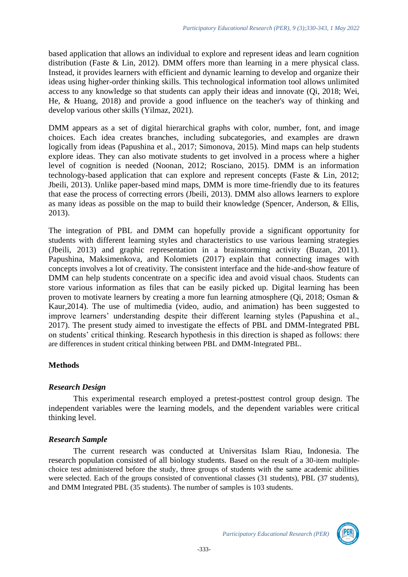based application that allows an individual to explore and represent ideas and learn cognition distribution (Faste & Lin, 2012). DMM offers more than learning in a mere physical class. Instead, it provides learners with efficient and dynamic learning to develop and organize their ideas using higher-order thinking skills. This technological information tool allows unlimited access to any knowledge so that students can apply their ideas and innovate (Qi, 2018; Wei, He, & Huang, 2018) and provide a good influence on the teacher's way of thinking and develop various other skills (Yilmaz, 2021).

DMM appears as a set of digital hierarchical graphs with color, number, font, and image choices. Each idea creates branches, including subcategories, and examples are drawn logically from ideas (Papushina et al., 2017; Simonova, 2015). Mind maps can help students explore ideas. They can also motivate students to get involved in a process where a higher level of cognition is needed (Noonan, 2012; Rosciano, 2015). DMM is an information technology-based application that can explore and represent concepts (Faste & Lin, 2012; Jbeili, 2013). Unlike paper-based mind maps, DMM is more time-friendly due to its features that ease the process of correcting errors (Jbeili, 2013). DMM also allows learners to explore as many ideas as possible on the map to build their knowledge (Spencer, Anderson, & Ellis, 2013).

The integration of PBL and DMM can hopefully provide a significant opportunity for students with different learning styles and characteristics to use various learning strategies (Jbeili, 2013) and graphic representation in a brainstorming activity (Buzan, 2011). Papushina, Maksimenkova, and Kolomiets (2017) explain that connecting images with concepts involves a lot of creativity. The consistent interface and the hide-and-show feature of DMM can help students concentrate on a specific idea and avoid visual chaos. Students can store various information as files that can be easily picked up. Digital learning has been proven to motivate learners by creating a more fun learning atmosphere (Qi, 2018; Osman & Kaur,2014). The use of multimedia (video, audio, and animation) has been suggested to improve learners' understanding despite their different learning styles (Papushina et al., 2017). The present study aimed to investigate the effects of PBL and DMM-Integrated PBL on students' critical thinking. Research hypothesis in this direction is shaped as follows: there are differences in student critical thinking between PBL and DMM-Integrated PBL.

# **Methods**

# *Research Design*

This experimental research employed a pretest-posttest control group design. The independent variables were the learning models, and the dependent variables were critical thinking level.

# *Research Sample*

The current research was conducted at Universitas Islam Riau, Indonesia. The research population consisted of all biology students. Based on the result of a 30-item multiplechoice test administered before the study, three groups of students with the same academic abilities were selected. Each of the groups consisted of conventional classes (31 students), PBL (37 students), and DMM Integrated PBL (35 students). The number of samples is 103 students.

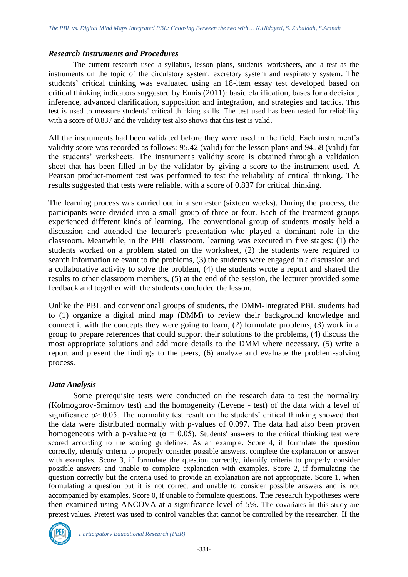#### *Research Instruments and Procedures*

The current research used a syllabus, lesson plans, students' worksheets, and a test as the instruments on the topic of the circulatory system, excretory system and respiratory system. The students' critical thinking was evaluated using an 18-item essay test developed based on critical thinking indicators suggested by Ennis (2011): basic clarification, bases for a decision, inference, advanced clarification, supposition and integration, and strategies and tactics. This test is used to measure students' critical thinking skills. The test used has been tested for reliability with a score of 0.837 and the validity test also shows that this test is valid.

All the instruments had been validated before they were used in the field. Each instrument's validity score was recorded as follows: 95.42 (valid) for the lesson plans and 94.58 (valid) for the students' worksheets. The instrument's validity score is obtained through a validation sheet that has been filled in by the validator by giving a score to the instrument used. A Pearson product-moment test was performed to test the reliability of critical thinking. The results suggested that tests were reliable, with a score of 0.837 for critical thinking.

The learning process was carried out in a semester (sixteen weeks). During the process, the participants were divided into a small group of three or four. Each of the treatment groups experienced different kinds of learning. The conventional group of students mostly held a discussion and attended the lecturer's presentation who played a dominant role in the classroom. Meanwhile, in the PBL classroom, learning was executed in five stages: (1) the students worked on a problem stated on the worksheet, (2) the students were required to search information relevant to the problems, (3) the students were engaged in a discussion and a collaborative activity to solve the problem, (4) the students wrote a report and shared the results to other classroom members, (5) at the end of the session, the lecturer provided some feedback and together with the students concluded the lesson.

Unlike the PBL and conventional groups of students, the DMM-Integrated PBL students had to (1) organize a digital mind map (DMM) to review their background knowledge and connect it with the concepts they were going to learn, (2) formulate problems, (3) work in a group to prepare references that could support their solutions to the problems, (4) discuss the most appropriate solutions and add more details to the DMM where necessary, (5) write a report and present the findings to the peers, (6) analyze and evaluate the problem-solving process.

### *Data Analysis*

Some prerequisite tests were conducted on the research data to test the normality (Kolmogorov-Smirnov test) and the homogeneity (Levene - test) of the data with a level of significance p > 0.05. The normality test result on the students' critical thinking showed that the data were distributed normally with p-values of 0.097. The data had also been proven homogeneous with a p-value $\alpha$  ( $\alpha = 0.05$ ). Students' answers to the critical thinking test were scored according to the scoring guidelines. As an example. Score 4, if formulate the question correctly, identify criteria to properly consider possible answers, complete the explanation or answer with examples. Score 3, if formulate the question correctly, identify criteria to properly consider possible answers and unable to complete explanation with examples. Score 2, if formulating the question correctly but the criteria used to provide an explanation are not appropriate. Score 1, when formulating a question but it is not correct and unable to consider possible answers and is not accompanied by examples. Score 0, if unable to formulate questions. The research hypotheses were then examined using ANCOVA at a significance level of 5%. The covariates in this study are pretest values. Pretest was used to control variables that cannot be controlled by the researcher. If the

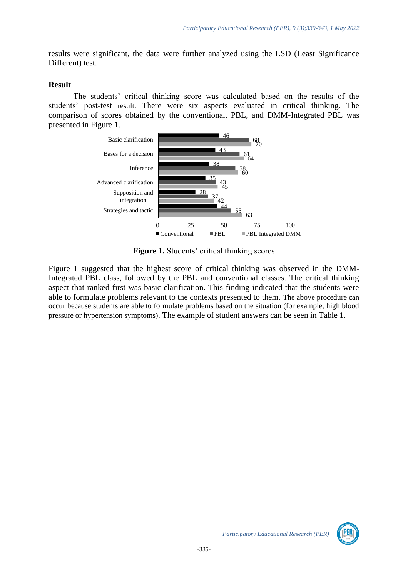results were significant, the data were further analyzed using the LSD (Least Significance Different) test.

### **Result**

The students' critical thinking score was calculated based on the results of the students' post-test result. There were six aspects evaluated in critical thinking. The comparison of scores obtained by the conventional, PBL, and DMM-Integrated PBL was presented in Figure 1.



**Figure 1.** Students' critical thinking scores

Figure 1 suggested that the highest score of critical thinking was observed in the DMM-Integrated PBL class, followed by the PBL and conventional classes. The critical thinking aspect that ranked first was basic clarification. This finding indicated that the students were able to formulate problems relevant to the contexts presented to them. The above procedure can occur because students are able to formulate problems based on the situation (for example, high blood pressure or hypertension symptoms). The example of student answers can be seen in Table 1.

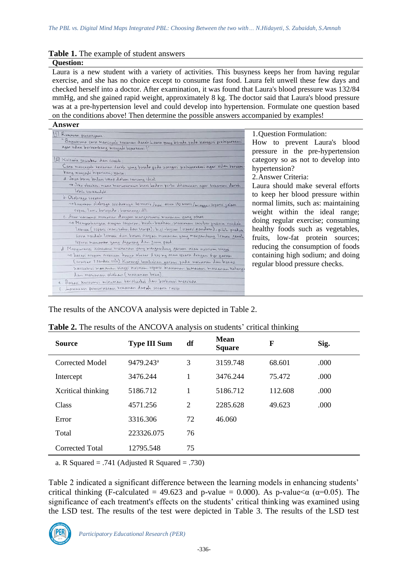#### **Table 1.** The example of student answers

#### **Question:**

Laura is a new student with a variety of activities. This busyness keeps her from having regular exercise, and she has no choice except to consume fast food. Laura felt unwell these few days and checked herself into a doctor. After examination, it was found that Laura's blood pressure was 132/84 mmHg, and she gained rapid weight, approximately 8 kg. The doctor said that Laura's blood pressure was at a pre-hypertension level and could develop into hypertension. Formulate one question based on the conditions above! Then determine the possible answers accompanied by examples!

#### **Answer**

| 11 Rumman pertanyaan:                                                                |
|--------------------------------------------------------------------------------------|
| "Bagaimana cara mencegah texanan darah Laura yang berada pada kategori prehipertehsi |
| agar sidau berhembang menjadi hipertensi?"                                           |
| 2 Kriteria jawaban dan contoh:                                                       |
| Cara mencegah tenanan darah yang berada pada kategori prempertensi agar tidak berkem |
| bang menjadi hipertemi; yaitu:                                                       |
| a Jaga beras badan tetap dalam rentang ideal                                         |
| no Jika obesitas, maur menurunkan berat badan pertu dilamunan agar tekanan darah     |
| lebih terumdali.                                                                     |
| b. Olahraga terneur                                                                  |
| no Lausuan olahraga seridamiya 30 menir /hari atau 150 menir /minggu, seperti jalan  |
| cepas, Lan, bersepeda, berenang, dill                                                |
| C. Atur nonsumsi makanan dengan mengansumsi mananan yang sehat                       |
| 10 Memperbanyan asupan sayuron, bunh-bunhan, mananan sumber protein rendah           |
| Lemau (sciptori inani tahu, dan tempe), biji-bijian (seperti gandum), pilih produu   |
| susu tendah temak dan basas asupan mananan yang mengandung temak jenuh               |
| Sepern mananan yang digoreng dan junu pood                                           |
| d. Mengurangi konsumi maunnan yang mengandung garam atau natrum tinggi               |
| no batasi asupan hattium hanya sebesar 2400 mg atau setara dengan 6gr garam          |
| (sembar 1 sendou teh). Kurangi bambahan garam pada makanan dan batasi                |
| nonsumi mananan kinggi haltum. seperti mananan kemasan, mananan Kolengo              |
| dan mananan olahan (makanan beun).                                                   |
| e. Batar konsumsi minuman beratkohol dan berhempi merokok                            |
| F. Laxukan pemeriksaan tekanan darah secara rutin                                    |
|                                                                                      |

1.Question Formulation: How to prevent Laura's blood pressure in the pre-hypertension category so as not to develop into hypertension?

2.Answer Criteria:

Laura should make several efforts to keep her blood pressure within normal limits, such as: maintaining weight within the ideal range; doing regular exercise; consuming healthy foods such as vegetables, fruits, low-fat protein sources; reducing the consumption of foods containing high sodium; and doing regular blood pressure checks.

The results of the ANCOVA analysis were depicted in Table 2.

| <b>Source</b>      | <b>Type III Sum</b>   | df | <b>Mean</b><br><b>Square</b> | F       | Sig. |
|--------------------|-----------------------|----|------------------------------|---------|------|
| Corrected Model    | 9479.243 <sup>a</sup> | 3  | 3159.748                     | 68.601  | .000 |
| Intercept          | 3476.244              | 1  | 3476.244                     | 75.472  | .000 |
| Xcritical thinking | 5186.712              | 1  | 5186.712                     | 112.608 | .000 |
| Class              | 4571.256              | 2  | 2285.628                     | 49.623  | .000 |
| Error              | 3316.306              | 72 | 46.060                       |         |      |
| Total              | 223326.075            | 76 |                              |         |      |
| Corrected Total    | 12795.548             | 75 |                              |         |      |

| Table 2. The results of the ANCOVA analysis on students' critical thinking |  |
|----------------------------------------------------------------------------|--|
|----------------------------------------------------------------------------|--|

a. R Squared  $= .741$  (Adjusted R Squared  $= .730$ )

Table 2 indicated a significant difference between the learning models in enhancing students' critical thinking (F-calculated = 49.623 and p-value = 0.000). As p-value  $\alpha$  ( $\alpha$ =0.05). The significance of each treatment's effects on the students' critical thinking was examined using the LSD test. The results of the test were depicted in Table 3. The results of the LSD test

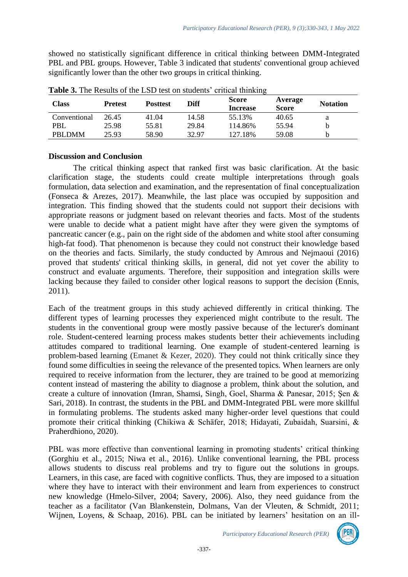showed no statistically significant difference in critical thinking between DMM-Integrated PBL and PBL groups. However, Table 3 indicated that students' conventional group achieved significantly lower than the other two groups in critical thinking.

| <b>Class</b> | <b>Prefest</b> | <b>Posttest</b> | <b>Diff</b> | <b>Score</b><br><b>Increase</b> | Average<br><b>Score</b> | <b>Notation</b> |
|--------------|----------------|-----------------|-------------|---------------------------------|-------------------------|-----------------|
| Conventional | 26.45          | 41.04           | 14.58       | 55.13%                          | 40.65                   |                 |
| PBL          | 25.98          | 55.81           | 29.84       | 114.86%                         | 55.94                   |                 |
| PBLDMM       | 25.93          | 58.90           | 32.97       | 127.18%                         | 59.08                   |                 |

**Table 3.** The Results of the LSD test on students' critical thinking

### **Discussion and Conclusion**

The critical thinking aspect that ranked first was basic clarification. At the basic clarification stage, the students could create multiple interpretations through goals formulation, data selection and examination, and the representation of final conceptualization (Fonseca & Arezes, 2017). Meanwhile, the last place was occupied by supposition and integration. This finding showed that the students could not support their decisions with appropriate reasons or judgment based on relevant theories and facts. Most of the students were unable to decide what a patient might have after they were given the symptoms of pancreatic cancer (e.g., pain on the right side of the abdomen and white stool after consuming high-fat food). That phenomenon is because they could not construct their knowledge based on the theories and facts. Similarly, the study conducted by Amrous and Nejmaoui (2016) proved that students' critical thinking skills, in general, did not yet cover the ability to construct and evaluate arguments. Therefore, their supposition and integration skills were lacking because they failed to consider other logical reasons to support the decision (Ennis, 2011).

Each of the treatment groups in this study achieved differently in critical thinking. The different types of learning processes they experienced might contribute to the result. The students in the conventional group were mostly passive because of the lecturer's dominant role. Student-centered learning process makes students better their achievements including attitudes compared to traditional learning. One example of student-centered learning is problem-based learning (Emanet & Kezer, 2020). They could not think critically since they found some difficulties in seeing the relevance of the presented topics. When learners are only required to receive information from the lecturer, they are trained to be good at memorizing content instead of mastering the ability to diagnose a problem, think about the solution, and create a culture of innovation (Imran, Shamsi, Singh, Goel, Sharma & Panesar, 2015; Şen & Sari, 2018). In contrast, the students in the PBL and DMM-Integrated PBL were more skillful in formulating problems. The students asked many higher-order level questions that could promote their critical thinking (Chikiwa & Schäfer, 2018; Hidayati, Zubaidah, Suarsini, & Praherdhiono, 2020).

PBL was more effective than conventional learning in promoting students' critical thinking (Gorghiu et al., 2015; Niwa et al., 2016). Unlike conventional learning, the PBL process allows students to discuss real problems and try to figure out the solutions in groups. Learners, in this case, are faced with cognitive conflicts. Thus, they are imposed to a situation where they have to interact with their environment and learn from experiences to construct new knowledge (Hmelo-Silver, 2004; Savery, 2006). Also, they need guidance from the teacher as a facilitator (Van Blankenstein, Dolmans, Van der Vleuten, & Schmidt, 2011; Wijnen, Loyens, & Schaap, 2016). PBL can be initiated by learners' hesitation on an ill-

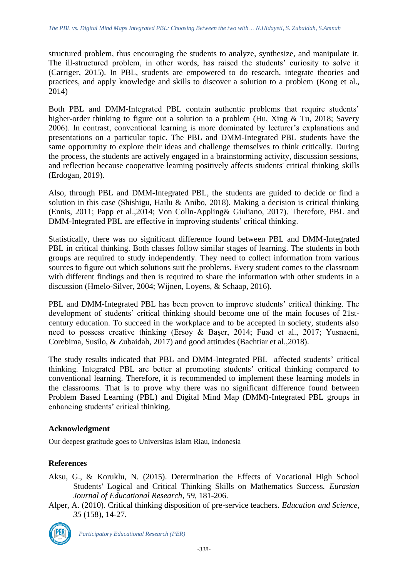structured problem, thus encouraging the students to analyze, synthesize, and manipulate it. The ill-structured problem, in other words, has raised the students' curiosity to solve it (Carriger, 2015). In PBL, students are empowered to do research, integrate theories and practices, and apply knowledge and skills to discover a solution to a problem (Kong et al., 2014)

Both PBL and DMM-Integrated PBL contain authentic problems that require students' higher-order thinking to figure out a solution to a problem (Hu, Xing & Tu, 2018; Savery 2006). In contrast, conventional learning is more dominated by lecturer's explanations and presentations on a particular topic. The PBL and DMM-Integrated PBL students have the same opportunity to explore their ideas and challenge themselves to think critically. During the process, the students are actively engaged in a brainstorming activity, discussion sessions, and reflection because cooperative learning positively affects students' critical thinking skills (Erdogan, 2019).

Also, through PBL and DMM-Integrated PBL, the students are guided to decide or find a solution in this case (Shishigu, Hailu & Anibo, 2018). Making a decision is critical thinking (Ennis, 2011; Papp et al.,2014; Von Colln-Appling& Giuliano, 2017). Therefore, PBL and DMM-Integrated PBL are effective in improving students' critical thinking.

Statistically, there was no significant difference found between PBL and DMM-Integrated PBL in critical thinking. Both classes follow similar stages of learning. The students in both groups are required to study independently. They need to collect information from various sources to figure out which solutions suit the problems. Every student comes to the classroom with different findings and then is required to share the information with other students in a discussion (Hmelo-Silver, 2004; Wijnen, Loyens, & Schaap, 2016).

PBL and DMM-Integrated PBL has been proven to improve students' critical thinking. The development of students' critical thinking should become one of the main focuses of 21stcentury education. To succeed in the workplace and to be accepted in society, students also need to possess creative thinking (Ersoy & Başer, 2014; Fuad et al., 2017; Yusnaeni, Corebima, Susilo, & Zubaidah, 2017) and good attitudes (Bachtiar et al.,2018).

The study results indicated that PBL and DMM-Integrated PBL affected students' critical thinking. Integrated PBL are better at promoting students' critical thinking compared to conventional learning. Therefore, it is recommended to implement these learning models in the classrooms. That is to prove why there was no significant difference found between Problem Based Learning (PBL) and Digital Mind Map (DMM)-Integrated PBL groups in enhancing students' critical thinking.

# **Acknowledgment**

Our deepest gratitude goes to Universitas Islam Riau, Indonesia

# **References**

- Aksu, G., & Koruklu, N. (2015). Determination the Effects of Vocational High School Students' Logical and Critical Thinking Skills on Mathematics Success. *Eurasian Journal of Educational Research*, *59*, 181-206.
- Alper, A. (2010). Critical thinking disposition of pre-service teachers. *Education and Science, 35* (158), 14-27.

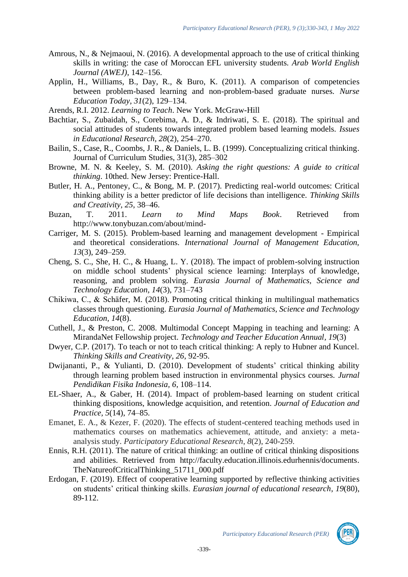- Amrous, N., & Nejmaoui, N. (2016). A developmental approach to the use of critical thinking skills in writing: the case of Moroccan EFL university students. *Arab World English Journal (AWEJ)*, 142–156.
- Applin, H., Williams, B., Day, R., & Buro, K. (2011). A comparison of competencies between problem-based learning and non-problem-based graduate nurses. *Nurse Education Today, 31*(2), 129–134.
- Arends, R.I. 2012. *Learning to Teach*. New York. McGraw-Hill
- Bachtiar, S., Zubaidah, S., Corebima, A. D., & Indriwati, S. E. (2018). The spiritual and social attitudes of students towards integrated problem based learning models. *Issues in Educational Research, 28*(2), 254–270.
- Bailin, S., Case, R., Coombs, J. R., & Daniels, L. B. (1999). Conceptualizing critical thinking. Journal of Curriculum Studies, 31(3), 285–302
- Browne, M. N. & Keeley, S. M. (2010). *Asking the right questions: A guide to critical thinking*. 10thed. New Jersey: Prentice-Hall.
- Butler, H. A., Pentoney, C., & Bong, M. P. (2017). Predicting real-world outcomes: Critical thinking ability is a better predictor of life decisions than intelligence. *Thinking Skills and Creativity, 25*, 38–46.
- Buzan, T. 2011. *Learn to Mind Maps Book*. Retrieved from http://www.tonybuzan.com/about/mind-
- Carriger, M. S. (2015). Problem-based learning and management development Empirical and theoretical considerations. *International Journal of Management Education, 13*(3), 249–259.
- Cheng, S. C., She, H. C., & Huang, L. Y. (2018). The impact of problem-solving instruction on middle school students' physical science learning: Interplays of knowledge, reasoning, and problem solving. *Eurasia Journal of Mathematics, Science and Technology Education, 14*(3), 731–743
- Chikiwa, C., & Schäfer, M. (2018). Promoting critical thinking in multilingual mathematics classes through questioning. *Eurasia Journal of Mathematics, Science and Technology Education, 14*(8).
- Cuthell, J., & Preston, C. 2008. Multimodal Concept Mapping in teaching and learning: A MirandaNet Fellowship project. *Technology and Teacher Education Annual, 19*(3)
- Dwyer, C.P. (2017). To teach or not to teach critical thinking: A reply to Hubner and Kuncel. *Thinking Skills and Creativity, 26*, 92-95.
- Dwijananti, P., & Yulianti, D. (2010). Development of students' critical thinking ability through learning problem based instruction in environmental physics courses. *Jurnal Pendidikan Fisika Indonesia, 6*, 108–114.
- EL-Shaer, A., & Gaber, H. (2014). Impact of problem-based learning on student critical thinking dispositions, knowledge acquisition, and retention. *Journal of Education and Practice, 5*(14), 74–85.
- Emanet, E. A., & Kezer, F. (2020). The effects of student-centered teaching methods used in mathematics courses on mathematics achievement, attitude, and anxiety: a metaanalysis study. *Participatory Educational Research*, *8*(2), 240-259.
- Ennis, R.H. (2011). The nature of critical thinking: an outline of critical thinking dispositions and abilities. Retrieved from [http://faculty.education.illinois.edurhennis/documents.](http://faculty.education.illinois.edurhennis/documents) TheNatureofCriticalThinking\_51711\_000.pdf
- Erdogan, F. (2019). Effect of cooperative learning supported by reflective thinking activities on students' critical thinking skills. *Eurasian journal of educational research*, *19*(80), 89-112.

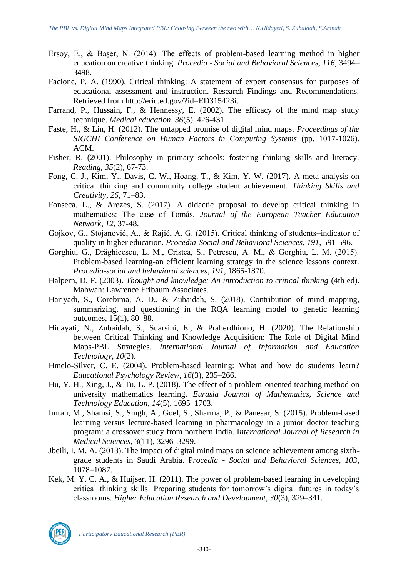- Ersoy, E., & Başer, N. (2014). The effects of problem-based learning method in higher education on creative thinking. *Procedia - Social and Behavioral Sciences, 116*, 3494– 3498.
- Facione, P. A. (1990). Critical thinking: A statement of expert consensus for purposes of educational assessment and instruction. Research Findings and Recommendations. Retrieved from [http://eric.ed.gov/?id=ED315423i.](http://eric.ed.gov/?id=ED315423i)
- Farrand, P., Hussain, F., & Hennessy, E. (2002). The efficacy of the mind map study technique. *Medical education, 36*(5), 426-431
- Faste, H., & Lin, H. (2012). The untapped promise of digital mind maps. *Proceedings of the SIGCHI Conference on Human Factors in Computing Systems* (pp. 1017-1026). ACM.
- Fisher, R. (2001). Philosophy in primary schools: fostering thinking skills and literacy. *Reading*, *35*(2), 67-73.
- Fong, C. J., Kim, Y., Davis, C. W., Hoang, T., & Kim, Y. W. (2017). A meta-analysis on critical thinking and community college student achievement. *Thinking Skills and Creativity, 26*, 71–83.
- Fonseca, L., & Arezes, S. (2017). A didactic proposal to develop critical thinking in mathematics: The case of Tomás. *Journal of the European Teacher Education Network*, *12*, 37-48.
- Gojkov, G., Stojanović, A., & Rajić, A. G. (2015). Critical thinking of students–indicator of quality in higher education. *Procedia-Social and Behavioral Sciences*, *191*, 591-596.
- Gorghiu, G., Drăghicescu, L. M., Cristea, S., Petrescu, A. M., & Gorghiu, L. M. (2015). Problem-based learning-an efficient learning strategy in the science lessons context. *Procedia-social and behavioral sciences*, *191*, 1865-1870.
- Halpern, D. F. (2003). *Thought and knowledge: An introduction to critical thinking* (4th ed). Mahwah: Lawrence Erlbaum Associates.
- Hariyadi, S., Corebima, A. D., & Zubaidah, S. (2018). Contribution of mind mapping, summarizing, and questioning in the RQA learning model to genetic learning outcomes, 15(1), 80–88.
- Hidayati, N., Zubaidah, S., Suarsini, E., & Praherdhiono, H. (2020). The Relationship between Critical Thinking and Knowledge Acquisition: The Role of Digital Mind Maps-PBL Strategies. *International Journal of Information and Education Technology*, *10*(2).
- Hmelo-Silver, C. E. (2004). Problem-based learning: What and how do students learn? *Educational Psychology Review, 16*(3), 235–266.
- Hu, Y. H., Xing, J., & Tu, L. P. (2018). The effect of a problem-oriented teaching method on university mathematics learning. *Eurasia Journal of Mathematics, Science and Technology Education, 14*(5), 1695–1703.
- Imran, M., Shamsi, S., Singh, A., Goel, S., Sharma, P., & Panesar, S. (2015). Problem-based learning versus lecture-based learning in pharmacology in a junior doctor teaching program: a crossover study from northern India. I*nternational Journal of Research in Medical Sciences, 3*(11), 3296–3299.
- Jbeili, I. M. A. (2013). The impact of digital mind maps on science achievement among sixthgrade students in Saudi Arabia. P*rocedia - Social and Behavioral Sciences, 103*, 1078–1087.
- Kek, M. Y. C. A., & Huijser, H. (2011). The power of problem-based learning in developing critical thinking skills: Preparing students for tomorrow's digital futures in today's classrooms. *Higher Education Research and Development, 30*(3), 329–341.

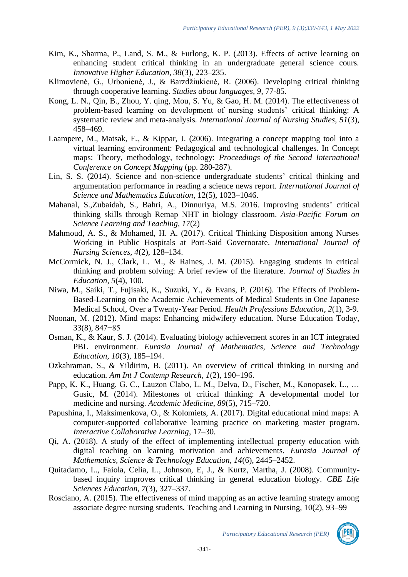- Kim, K., Sharma, P., Land, S. M., & Furlong, K. P. (2013). Effects of active learning on enhancing student critical thinking in an undergraduate general science cours. *Innovative Higher Education, 38*(3), 223–235.
- Klimovienė, G., Urbonienė, J., & Barzdžiukienė, R. (2006). Developing critical thinking through cooperative learning. *Studies about languages, 9*, 77-85.
- Kong, L. N., Qin, B., Zhou, Y. qing, Mou, S. Yu, & Gao, H. M. (2014). The effectiveness of problem-based learning on development of nursing students' critical thinking: A systematic review and meta-analysis. *International Journal of Nursing Studies, 51*(3), 458–469.
- Laampere, M., Matsak, E., & Kippar, J. (2006). Integrating a concept mapping tool into a virtual learning environment: Pedagogical and technological challenges. In Concept maps: Theory, methodology, technology: *Proceedings of the Second International Conference on Concept Mapping* (pp. 280-287).
- Lin, S. S. (2014). Science and non-science undergraduate students' critical thinking and argumentation performance in reading a science news report. *International Journal of Science and Mathematics Education*, 12(5), 1023–1046.
- Mahanal, S.,Zubaidah, S., Bahri, A., Dinnuriya, M.S. 2016. Improving students' critical thinking skills through Remap NHT in biology classroom. *Asia-Pacific Forum on Science Learning and Teaching, 17*(2)
- Mahmoud, A. S., & Mohamed, H. A. (2017). Critical Thinking Disposition among Nurses Working in Public Hospitals at Port-Said Governorate. *International Journal of Nursing Sciences, 4*(2), 128–134.
- McCormick, N. J., Clark, L. M., & Raines, J. M. (2015). Engaging students in critical thinking and problem solving: A brief review of the literature. *Journal of Studies in Education, 5*(4), 100.
- Niwa, M., Saiki, T., Fujisaki, K., Suzuki, Y., & Evans, P. (2016). The Effects of Problem-Based-Learning on the Academic Achievements of Medical Students in One Japanese Medical School, Over a Twenty-Year Period. *Health Professions Education*, *2*(1), 3-9.
- Noonan, M. (2012). Mind maps: Enhancing midwifery education. Nurse Education Today, 33(8), 847−85
- Osman, K., & Kaur, S. J. (2014). Evaluating biology achievement scores in an ICT integrated PBL environment. *Eurasia Journal of Mathematics, Science and Technology Education, 10*(3), 185–194.
- Ozkahraman, S., & Yildirim, B. (2011). An overview of critical thinking in nursing and education*. Am Int J Contemp Research, 1*(2), 190–196.
- Papp, K. K., Huang, G. C., Lauzon Clabo, L. M., Delva, D., Fischer, M., Konopasek, L., … Gusic, M. (2014). Milestones of critical thinking: A developmental model for medicine and nursing. *Academic Medicine, 89*(5), 715–720.
- Papushina, I., Maksimenkova, O., & Kolomiets, A. (2017). Digital educational mind maps: A computer-supported collaborative learning practice on marketing master program. *Interactive Collaborative Learning*, 17–30.
- Qi, A. (2018). A study of the effect of implementing intellectual property education with digital teaching on learning motivation and achievements. *Eurasia Journal of Mathematics, Science & Technology Education, 14*(6), 2445–2452.
- Quitadamo, I.., Faiola, Celia, L., Johnson, E, J., & Kurtz, Martha, J. (2008). Communitybased inquiry improves critical thinking in general education biology. *CBE Life Sciences Education, 7*(3), 327–337.
- Rosciano, A. (2015). The effectiveness of mind mapping as an active learning strategy among associate degree nursing students. Teaching and Learning in Nursing, 10(2), 93–99

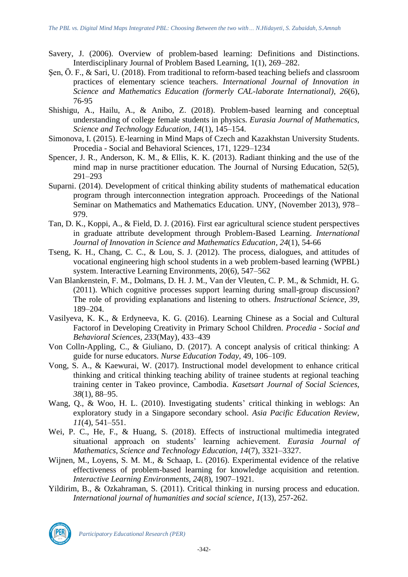- Savery, J. (2006). Overview of problem-based learning: Definitions and Distinctions. Interdisciplinary Journal of Problem Based Learning, 1(1), 269–282.
- Sen, Ö. F., & Sari, U. (2018). From traditional to reform-based teaching beliefs and classroom practices of elementary science teachers. *International Journal of Innovation in Science and Mathematics Education (formerly CAL-laborate International)*, *26*(6), 76-95
- Shishigu, A., Hailu, A., & Anibo, Z. (2018). Problem-based learning and conceptual understanding of college female students in physics. *Eurasia Journal of Mathematics, Science and Technology Education, 14*(1), 145–154.
- Simonova, I. (2015). E-learning in Mind Maps of Czech and Kazakhstan University Students. Procedia - Social and Behavioral Sciences, 171, 1229–1234
- Spencer, J. R., Anderson, K. M., & Ellis, K. K. (2013). Radiant thinking and the use of the mind map in nurse practitioner education. The Journal of Nursing Education, 52(5), 291–293
- Suparni. (2014). Development of critical thinking ability students of mathematical education program through interconnection integration approach. Proceedings of the National Seminar on Mathematics and Mathematics Education. UNY, (November 2013), 978– 979.
- Tan, D. K., Koppi, A., & Field, D. J. (2016). First ear agricultural science student perspectives in graduate attribute development through Problem-Based Learning. *International Journal of Innovation in Science and Mathematics Education*, *24*(1), 54-66
- Tseng, K. H., Chang, C. C., & Lou, S. J. (2012). The process, dialogues, and attitudes of vocational engineering high school students in a web problem-based learning (WPBL) system. Interactive Learning Environments, 20(6), 547–562
- Van Blankenstein, F. M., Dolmans, D. H. J. M., Van der Vleuten, C. P. M., & Schmidt, H. G. (2011). Which cognitive processes support learning during small-group discussion? The role of providing explanations and listening to others. *Instructional Science, 39*, 189–204.
- Vasilyeva, K. K., & Erdyneeva, K. G. (2016). Learning Chinese as a Social and Cultural Factorof in Developing Creativity in Primary School Children. *Procedia - Social and Behavioral Sciences, 233*(May), 433–439
- Von Colln-Appling, C., & Giuliano, D. (2017). A concept analysis of critical thinking: A guide for nurse educators. *Nurse Education Today*, 49, 106–109.
- Vong, S. A., & Kaewurai, W. (2017). Instructional model development to enhance critical thinking and critical thinking teaching ability of trainee students at regional teaching training center in Takeo province, Cambodia. *Kasetsart Journal of Social Sciences, 38*(1), 88–95.
- Wang, Q., & Woo, H. L. (2010). Investigating students' critical thinking in weblogs: An exploratory study in a Singapore secondary school. *Asia Pacific Education Review, 11*(4), 541–551.
- Wei, P. C., He, F., & Huang, S. (2018). Effects of instructional multimedia integrated situational approach on students' learning achievement. *Eurasia Journal of Mathematics, Science and Technology Education, 14*(7), 3321–3327.
- Wijnen, M., Loyens, S. M. M., & Schaap, L. (2016). Experimental evidence of the relative effectiveness of problem-based learning for knowledge acquisition and retention. *Interactive Learning Environments, 24*(8), 1907–1921.
- Yildirim, B., & Ozkahraman, S. (2011). Critical thinking in nursing process and education. *International journal of humanities and social science*, *1*(13), 257-262.